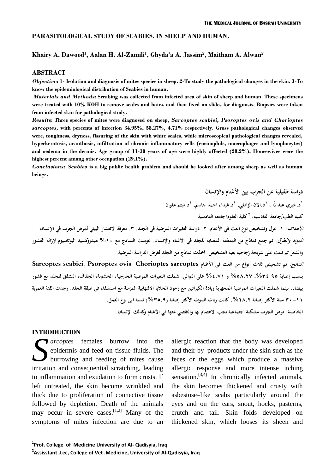### **PARASITOLOGICAL STUDY OF SCABIES, IN SHEEP AND HUMAN.**

### **Khairy A. Dawood<sup>1</sup> , Aalan H. Al-Zamili<sup>1</sup> , Ghyda'a A. Jassim<sup>2</sup> , Maitham A. Alwan<sup>2</sup>**

### **ABSTRACT**

*Objective***: 1- Isolation and diagnosis of mites species in sheep. 2-To study the pathological changes in the skin. 3-To know the epidemiological distribution of Scabies in human.**

*Materials and Methods***: Scrabing was collected from infected area of skin of sheep and human. These specimens were treated with 10% KOH to remove scales and hairs, and then fixed on slides for diagnosis. Biopsies were taken from infected skin for pathological study.**

*Results***: Three species of mites were diagnosed on sheep,** *Sarcoptes scabiei, Psoroptes ovis and Chorioptes sarcoptes,* **with percents of infection 34.95%, 58.27%, 4.71% respectively. Gross pathological changes observed were, toughness, dryness, fissuring of the skin with white scales, while microscopical pathological changes revealed, hyperkeratosis, acanthosis, infiltration of chronic inflammatory cells (eosinophils, macrophages and lymphocytes) and oedema in the dermis. Age group of 11-30 years of age were highly affected (28.2%). Housewives were the highest percent among other occupation (29.1%).**

*Conclusions***:** *Scabies* **is a big public health problem and should be looked after among sheep as well as human**

**دراسة طفيلية عن الجرب بين الأغنام والإنسان .beings ١ د.خيري عبداالله ، ١ د.الان الزاملي، ٢ د.غيداء احمد جاسم، د.ميثم علوان <sup>٢</sup> ٢ كلية الطب/جامعة القادسية، كلية العلوم/جامعة القادسية** ا*لأهداف:* ١. عزل وتشخيص نوع العث في الأغنام. ٢. دراسة التغيرات المرضية في الجلد. ٣. معرفة الانتشار البيئي لمرض الجرب في الإنسان. *المواد والطرق:* تم جمع نماذج من المنطقة المصابة للجلد في الأغنام والإنسان. عوملت النماذج مع ٥١٠% هيدروكسيد البوتاسيوم لإزالة القشور<br>والشعر ثم ثبتت على شريحة زجاجية بغية التشخيص. أخذت نماذج من الجلد لغرض الدراسة المرضية. *النتائج:* **تم تشخيص ثلاث أنواع من العث في الأغنام sarcoptes Chorioptes ,ovis Psoroptes ,scabiei Sarcoptes بنسب إصابة ،%٣٤.٩٥ %٥٨.٢٧ و %٤.٧١ على التوالي. شملت التغيرات المرضية الخارجية، الخشونة، الجفاف، التشقق للجلد مع قشور بيضاء. بينما شملت التغيرات المرضية المجهرية زيادة الكيراتين مع وجود الخلايا الالتهابية المزمنة مع استسقاء في طبقة الجلد. وجدت الفئة العمرية ٣٠-١١ سنة الأكثر إصابة .%٢٨.٢ كانت ربات البيوت الأكثر إصابة (%٣٥.٩) نسبة الى نوع العمل. الخاصية: مرض الجرب مشكلة اجتماعية يجب الاهتمام بها والتقصي عنها في الأغنام وكذلك الإنسان.**

### **INTRODUCTION**

*diarcoptes* females burrow into the epidermis and feed on tissue fluids. The burrowing and feeding of mites cause **S** *arcoptes* females burrow into the allergitepidermis and feed on tissue fluids. The and the burrowing and feeding of mites cause feces irritation and consequential scratching, leading allergi to inflammation and exudation to form crusts. If left untreated, the skin become wrinkled and thick due to proliferation of connective tissue followed by depletion. Death of the animals may occur in severe cases.<sup>[1,2]</sup> Many of the crutc symptoms of mites infection are due to an

allergic reaction that the body was developed and their by–products under the skin such as the feces or the eggs which produce a massive allergic response and more intense itching sensation.<sup>[3,4]</sup> In chronically infected animals, the skin becomes thickened and crusty with asbestose–like scabs particularly around the eyes and on the ears, snout, hocks, pasterns, crutch and tail. Skin folds developed on thickened skin, which looses its sheen and

<sup>&</sup>lt;sup>1</sup>**Prof. College** of Medicine University of Al- Qadisyia, Iraq

**<sup>2</sup>Assisstant .Lec, College of Vet .Medicine, University of Al-Qadisyia, Iraq**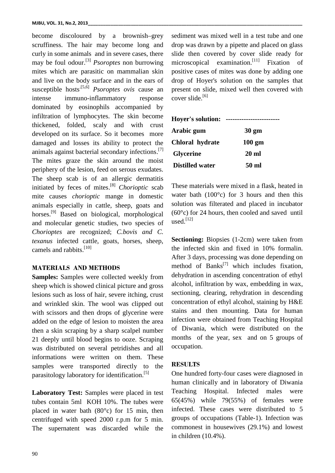become discoloured by a brownish–grey scruffiness. The hair may become long and curly in some animals and in severe cases, there may be foul odour.<sup>[3]</sup> *Psoroptes* non burrowing micros mites which are parasitic on mammalian skin and live on the body surface and in the ears of susceptible hosts<sup>[5,6]</sup> *Psoroptes ovis* cause an intense immuno-inflammatory response dominated by eosinophils accompanied by infiltration of lymphocytes. The skin become thickened, folded, scaly and with crust developed on its surface. So it becomes more damaged and losses its ability to protect the animals against bacterial secondary infections.<sup>[7]</sup> The mites graze the skin around the moist periphery of the lesion, feed on serous exudates. The sheep scab is of an allergic dermatitis initiated by feces of mites. [8] *Chorioptic* scab mite causes *chorioptic* mange in domestic animals especially in cattle, sheep, goats and horses.<sup>[9]</sup> Based on biological, morphological (6 and molecular genetic studies, two species of *Chorioptes* are recognized; *C.bovis and C. texanus* infected cattle, goats, horses, sheep, camels and rabbits.<sup>[10]</sup>

# **MATERIALS AND METHODS**

**Samples:** Samples were collected weekly from sheep which is showed clinical picture and gross lesions such as loss of hair, severe itching, crust and wrinkled skin. The wool was clipped out with scissors and then drops of glycerine were added on the edge of lesion to moisten the area then a skin scraping by a sharp scalpel number 21 deeply until blood begins to ooze. Scraping was distributed on several petridishes and all informations were written on them. These samples were transported directly to the parasitology laboratory for identification. [5]

Laboratory Test: Samples were placed in test Teaching tubes contain 5ml KOH 10%. The tubes were placed in water bath (80°c) for 15 min, then centrifuged with speed 2000 r.p.m for 5 min. The supernatent was discarded while the

sediment was mixed well in a test tube and one drop was drawn by a pipette and placed on glass slide then covered by cover slide ready for microscopical examination.<sup>[11]</sup> Fixation of positive cases of mites was done by adding one drop of Hoyer's solution on the samples that present on slide, mixed well then covered with cover slide.<sup>[6]</sup>

| <b>Hoyer's solution:</b> |                  |  |
|--------------------------|------------------|--|
| Arabic gum               | $30 \text{ gm}$  |  |
| Chloral hydrate          | $100 \text{ gm}$ |  |
| <b>Glycerine</b>         | 20 ml            |  |
| <b>Distilled water</b>   | 50 ml            |  |

These materials were mixed in a flask, heated in water bath  $(100^{\circ}c)$  for 3 hours and then this solution was filterated and placed in incubator  $(60^{\circ}c)$  for 24 hours, then cooled and saved until used. [12]

**Sectioning:** Biopsies (1-2cm) were taken from the infected skin and fixed in 10% formalin. After 3 days, processing was done depending on method of Banks<sup>[7]</sup> which includes fixation, dehydration in ascending concentration of ethyl alcohol, infiltration by wax, embedding in wax, sectioning, clearing, rehydration in descending concentration of ethyl alcohol, staining by H&E stains and then mounting. Data for human infection were obtained from Teaching Hospital of Diwania, which were distributed on the months of the year, sex and on 5 groups of occupation.

## **RESULTS**

One hundred forty-four cases were diagnosed in human clinically and in laboratory of Diwania Hospital. Infected males were 65(45%) while 79(55%) of females were infected. These cases were distributed to 5 groups of occupations (Table-1). Infection was commonest in housewives (29.1%) and lowest in children (10.4%).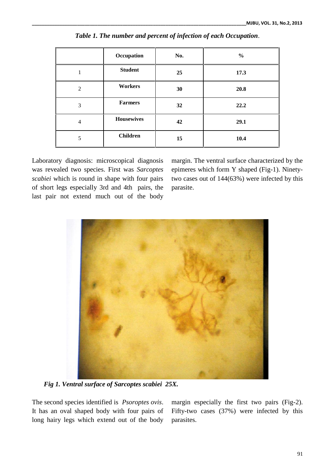|                | Occupation        | No. | $\frac{0}{0}$ |
|----------------|-------------------|-----|---------------|
|                | <b>Student</b>    | 25  | 17.3          |
| $\overline{2}$ | Workers           | 30  | 20.8          |
| 3              | <b>Farmers</b>    | 32  | 22.2          |
| $\overline{4}$ | <b>Housewives</b> | 42  | 29.1          |
| 5              | <b>Children</b>   | 15  | 10.4          |

*Table 1. The number and percent of infection of each Occupation*.

Laboratory diagnosis: microscopical diagnosis was revealed two species. First was *Sarcoptes scabiei* which is round in shape with four pairs of short legs especially 3rd and 4th pairs, the last pair not extend much out of the body

margin. The ventral surface characterized by the epimeres which form Y shaped (Fig-1). Ninetytwo cases out of 144(63%) were infected by this parasite.



*Fig 1. Ventral surface of Sarcoptes scabiei 25X.*

The second species identified is *Psoroptes ovis*. It has an oval shaped body with four pairs of long hairy legs which extend out of the body margin especially the first two pairs (Fig-2). Fifty-two cases (37%) were infected by this parasites.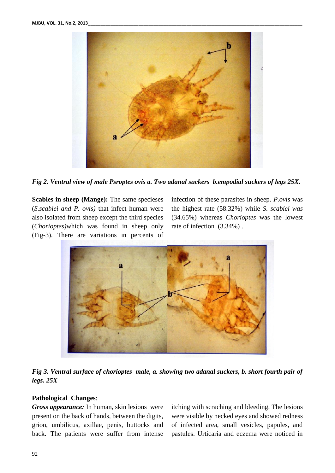

*Fig 2. Ventral view of male Psroptes ovis a. Two adanal suckers b.empodial suckers of legs 25X.*

**Scabies in sheep (Mange):** The same specieses (*S.scabiei and P. ovis)* that infect human were also isolated from sheep except the third species (*Chorioptes)*which was found in sheep only (Fig-3). There are variations in percents of

infection of these parasites in sheep. *P.ovis* was the highest rate (58.32%) while *S. scabiei was* (34.65%) whereas *Chorioptes* was the lowest rate of infection  $(3.34%)$ .



*Fig 3. Ventral surface of chorioptes male, a. showing two adanal suckers, b. short fourth pair of legs. 25X*

## **Pathological Changes**:

*Gross appearance:* In human, skin lesions were present on the back of hands, between the digits, grion, umbilicus, axillae, penis, buttocks and back. The patients were suffer from intense

itching with scraching and bleeding. The lesions were visible by necked eyes and showed redness of infected area, small vesicles, papules, and pastules. Urticaria and eczema were noticed in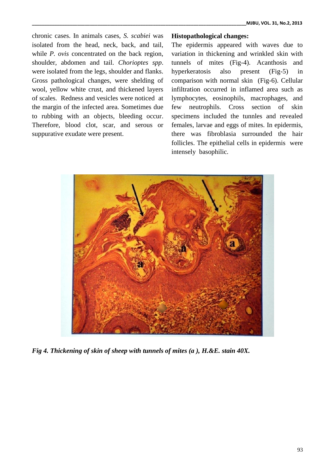chronic cases. In animals cases, *S. scabiei* was isolated from the head, neck, back, and tail, while *P. ovis* concentrated on the back region, shoulder, abdomen and tail. *Chorioptes spp*. were isolated from the legs, shoulder and flanks. Gross pathological changes, were shelding of wool, yellow white crust, and thickened layers of scales. Redness and vesicles were noticed at the margin of the infected area. Sometimes due to rubbing with an objects, bleeding occur. Therefore, blood clot, scar, and serous or suppurative exudate were present.

### **Histopathological changes:**

The epidermis appeared with waves due to variation in thickening and wrinkled skin with tunnels of mites (Fig-4). Acanthosis and hyperkeratosis also present (Fig-5) in comparison with normal skin (Fig-6). Cellular infiltration occurred in inflamed area such as lymphocytes, eosinophils, macrophages, and neutrophils. Cross section of skin specimens included the tunnles and revealed females, larvae and eggs of mites. In epidermis, there was fibroblasia surrounded the hair follicles. The epithelial cells in epidermis were intensely basophilic.



*Fig 4. Thickening of skin of sheep with tunnels of mites (a ), H.&E. stain 40X.*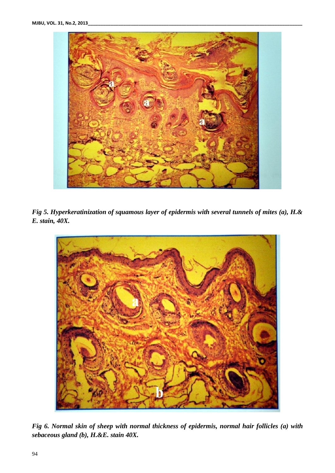

*Fig 5. Hyperkeratinization of squamous layer of epidermis with several tunnels of mites (a), H.& E. stain, 40X.*



*Fig 6. Normal skin of sheep with normal thickness of epidermis, normal hair follicles (a) with sebaceous gland (b), H.&E. stain 40X.*